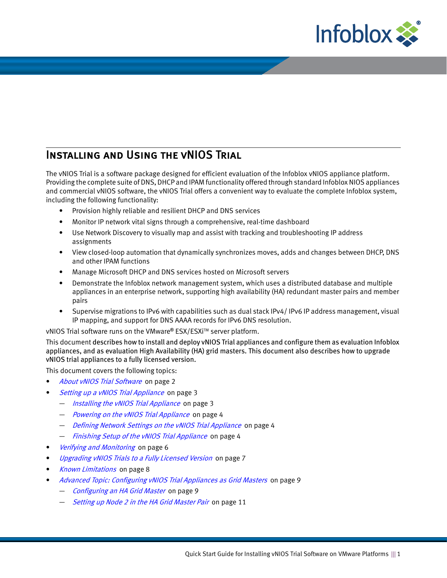

# Installing and Using the vNIOS Trial

The vNIOS Trial is a software package designed for efficient evaluation of the Infoblox vNIOS appliance platform. Providing the complete suite of DNS, DHCP and IPAM functionality offered through standard Infoblox NIOS appliances and commercial vNIOS software, the vNIOS Trial offers a convenient way to evaluate the complete Infoblox system, including the following functionality:

- Provision highly reliable and resilient DHCP and DNS services
- Monitor IP network vital signs through a comprehensive, real-time dashboard
- Use Network Discovery to visually map and assist with tracking and troubleshooting IP address assignments
- View closed-loop automation that dynamically synchronizes moves, adds and changes between DHCP, DNS and other IPAM functions
- Manage Microsoft DHCP and DNS services hosted on Microsoft servers
- Demonstrate the Infoblox network management system, which uses a distributed database and multiple appliances in an enterprise network, supporting high availability (HA) redundant master pairs and member pairs
- Supervise migrations to IPv6 with capabilities such as dual stack IPv4/ IPv6 IP address management, visual IP mapping, and support for DNS AAAA records for IPv6 DNS resolution.

vNIOS Trial software runs on the VMware® ESX/ESXi™ server platform.

This document describes how to install and deploy vNIOS Trial appliances and configure them as evaluation Infoblox appliances, and as evaluation High Availability (HA) grid masters. This document also describes how to upgrade vNIOS trial appliances to a fully licensed version.

This document covers the following topics:

- [About vNIOS Trial Software](#page-1-0) on page 2
- [Setting up a vNIOS Trial Appliance](#page-2-0) on page 3
	- *Installing the vNIOS Trial Appliance* on page 3
	- [Powering on the vNIOS Trial Appliance](#page-3-2) on page 4
	- [Defining Network Settings on the vNIOS Trial Appliance](#page-3-0) on page 4
	- [Finishing Setup of the vNIOS Trial Appliance](#page-3-1) on page 4
- [Verifying and Monitoring](#page-5-0) on page 6
- [Upgrading vNIOS Trials to a Fully Licensed Version](#page-6-0) on page 7
- [Known Limitations](#page-7-0) on page 8
- [Advanced Topic: Configuring vNIOS Trial Appliances as Grid Masters](#page-8-0) on page 9
	- [Configuring an HA Grid Master](#page-8-1) on page 9
	- [Setting up Node 2 in the HA Grid Master Pair](#page-10-0) on page 11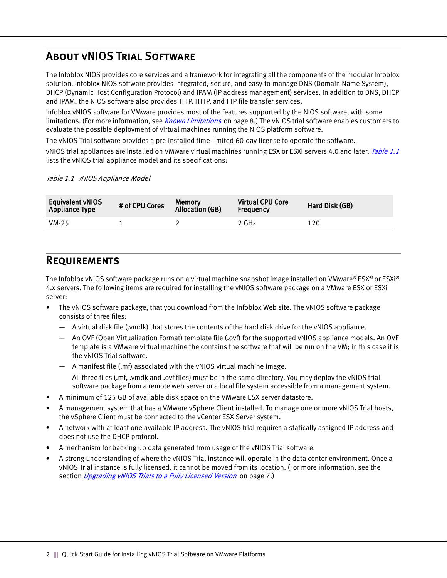## <span id="page-1-0"></span>About vNIOS Trial Software

The Infoblox NIOS provides core services and a framework for integrating all the components of the modular Infoblox solution. Infoblox NIOS software provides integrated, secure, and easy-to-manage DNS (Domain Name System), DHCP (Dynamic Host Configuration Protocol) and IPAM (IP address management) services. In addition to DNS, DHCP and IPAM, the NIOS software also provides TFTP, HTTP, and FTP file transfer services.

Infoblox vNIOS software for VMware provides most of the features supported by the NIOS software, with some limitations. (For more information, see *Known Limitations* on page 8.) The vNIOS trial software enables customers to evaluate the possible deployment of virtual machines running the NIOS platform software.

The vNIOS Trial software provides a pre-installed time-limited 60-day license to operate the software.

vNIOS trial appliances are installed on VMware virtual machines running ESX or ESXi servers 4.0 and later. [Table](#page-1-1) 1.1 lists the vNIOS trial appliance model and its specifications:

<span id="page-1-1"></span>Table 1.1 vNIOS Appliance Model

| <b>Equivalent vNIOS</b><br><b>Appliance Type</b> | # of CPU Cores | <b>Memory</b><br><b>Allocation (GB)</b> | <b>Virtual CPU Core</b><br><b>Frequency</b> | Hard Disk (GB) |
|--------------------------------------------------|----------------|-----------------------------------------|---------------------------------------------|----------------|
| $VM-25$                                          |                |                                         | 2 GHz                                       | 120            |

### **REQUIREMENTS**

The Infoblox vNIOS software package runs on a virtual machine snapshot image installed on VMware**®** ESX**®** or ESXi**®** 4.x servers. The following items are required for installing the vNIOS software package on a VMware ESX or ESXi server:

- The vNIOS software package, that you download from the Infoblox Web site. The vNIOS software package consists of three files:
	- A virtual disk file (.vmdk) that stores the contents of the hard disk drive for the vNIOS appliance.
	- An OVF (Open Virtualization Format) template file (.ovf) for the supported vNIOS appliance models. An OVF template is a VMware virtual machine the contains the software that will be run on the VM; in this case it is the vNIOS Trial software.
	- A manifest file (.mf) associated with the vNIOS virtual machine image.

All three files (.mf, .vmdk and .ovf files) must be in the same directory. You may deploy the vNIOS trial software package from a remote web server or a local file system accessible from a management system.

- A minimum of 125 GB of available disk space on the VMware ESX server datastore.
- A management system that has a VMware vSphere Client installed. To manage one or more vNIOS Trial hosts, the vSphere Client must be connected to the vCenter ESX Server system.
- A network with at least one available IP address. The vNIOS trial requires a statically assigned IP address and does not use the DHCP protocol.
- A mechanism for backing up data generated from usage of the vNIOS Trial software.
- A strong understanding of where the vNIOS Trial instance will operate in the data center environment. Once a vNIOS Trial instance is fully licensed, it cannot be moved from its location. (For more information, see the section *Upgrading vNIOS Trials to a Fully Licensed Version* on page 7.)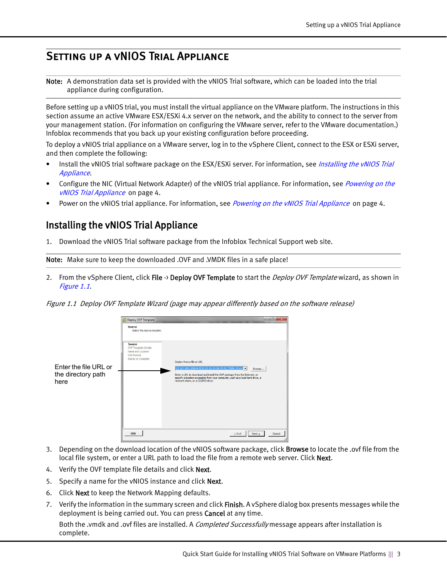## <span id="page-2-0"></span>SETTING UP A VNIOS TRIAL APPLIANCE

Note: A demonstration data set is provided with the vNIOS Trial software, which can be loaded into the trial appliance during configuration.

Before setting up a vNIOS trial, you must install the virtual appliance on the VMware platform. The instructions in this section assume an active VMware ESX/ESXi 4.x server on the network, and the ability to connect to the server from your management station. (For information on configuring the VMware server, refer to the VMware documentation.) Infoblox recommends that you back up your existing configuration before proceeding.

To deploy a vNIOS trial appliance on a VMware server, log in to the vSphere Client, connect to the ESX or ESXi server, and then complete the following:

- Install the vNIOS trial software package on the ESX/ESXi server. For information, see *Installing the vNIOS Trial* [Appliance](#page-2-1).
- Configure the NIC (Virtual Network Adapter) of the vNIOS trial appliance. For information, see *Powering on the* [vNIOS Trial Appliance](#page-3-2) on page 4.
- Power on the vNIOS trial appliance. For information, see *Powering on the vNIOS Trial Appliance* on page 4.

## <span id="page-2-1"></span>Installing the vNIOS Trial Appliance

1. Download the vNIOS Trial software package from the Infoblox Technical Support web site.

Note: Make sure to keep the downloaded .OVF and .VMDK files in a safe place!

2. From the vSphere Client, click File -> Deploy OVF Template to start the Deploy OVF Template wizard, as shown in Figure 1.1.

Figure 1.1 Deploy OVF Template Wizard (page may appear differently based on the software release)



- 3. Depending on the download location of the vNIOS software package, click Browse to locate the .ovf file from the local file system, or enter a URL path to load the file from a remote web server. Click Next.
- 4. Verify the OVF template file details and click Next.
- 5. Specify a name for the vNIOS instance and click **Next.**
- 6. Click Next to keep the Network Mapping defaults.
- 7. Verify the information in the summary screen and click **Finish**. A vSphere dialog box presents messages while the deployment is being carried out. You can press Cancel at any time.

Both the .vmdk and .ovf files are installed. A *Completed Successfully* message appears after installation is complete.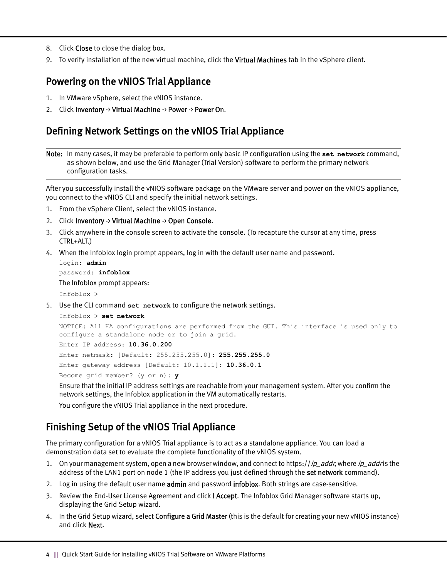- 8. Click Close to close the dialog box.
- 9. To verify installation of the new virtual machine, click the Virtual Machines tab in the vSphere client.

#### <span id="page-3-2"></span>Powering on the vNIOS Trial Appliance

- 1. In VMware vSphere, select the vNIOS instance.
- 2. Click Inventory -> Virtual Machine -> Power -> Power On.

#### <span id="page-3-0"></span>Defining Network Settings on the vNIOS Trial Appliance

Note: In many cases, it may be preferable to perform only basic IP configuration using the **set network** command, as shown below, and use the Grid Manager (Trial Version) software to perform the primary network configuration tasks.

After you successfully install the vNIOS software package on the VMware server and power on the vNIOS appliance, you connect to the vNIOS CLI and specify the initial network settings.

- 1. From the vSphere Client, select the vNIOS instance.
- 2. Click Inventory  $\rightarrow$  Virtual Machine  $\rightarrow$  Open Console.
- 3. Click anywhere in the console screen to activate the console. (To recapture the cursor at any time, press CTRL+ALT.)
- 4. When the Infoblox login prompt appears, log in with the default user name and password.

```
login: admin
password: infoblox
The Infoblox prompt appears:
Infoblox >
```
5. Use the CLI command **set network** to configure the network settings.

```
Infoblox > set network
```

```
NOTICE: All HA configurations are performed from the GUI. This interface is used only to 
configure a standalone node or to join a grid.
```
Enter IP address: **10.36.0.200**

Enter netmask: [Default: 255.255.255.0]: **255.255.255.0**

```
Enter gateway address [Default: 10.1.1.1]: 10.36.0.1
```
Become grid member? (y or n): **y**

Ensure that the initial IP address settings are reachable from your management system. After you confirm the network settings, the Infoblox application in the VM automatically restarts.

You configure the vNIOS Trial appliance in the next procedure.

### <span id="page-3-1"></span>Finishing Setup of the vNIOS Trial Appliance

The primary configuration for a vNIOS Trial appliance is to act as a standalone appliance. You can load a demonstration data set to evaluate the complete functionality of the vNIOS system.

- 1. On your management system, open a new browser window, and connect to https://ip\_addr, where ip\_addr is the address of the LAN1 port on node 1 (the IP address you just defined through the set network command).
- 2. Log in using the default user name admin and password infoblox. Both strings are case-sensitive.
- 3. Review the End-User License Agreement and click I Accept. The Infoblox Grid Manager software starts up, displaying the Grid Setup wizard.
- 4. In the Grid Setup wizard, select **Configure a Grid Master** (this is the default for creating your new vNIOS instance) and click Next.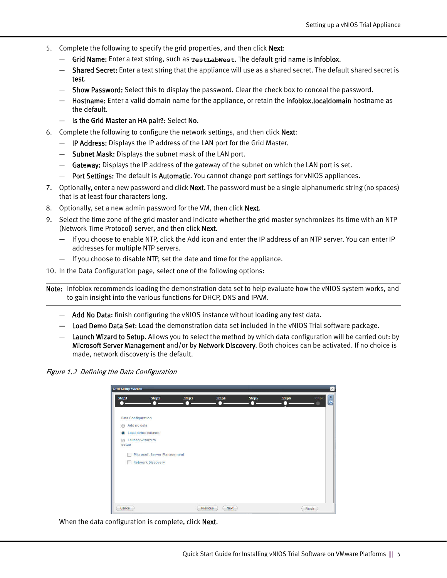- 5. Complete the following to specify the grid properties, and then click Next:
	- Grid Name: Enter a text string, such as **TestLabWest**. The default grid name is Infoblox.
	- Shared Secret: Enter a text string that the appliance will use as a shared secret. The default shared secret is test.
	- Show Password: Select this to display the password. Clear the check box to conceal the password.
	- Hostname: Enter a valid domain name for the appliance, or retain the infoblox.localdomain hostname as the default.
	- Is the Grid Master an HA pair?: Select No.
- 6. Complete the following to configure the network settings, and then click Next:
	- IP Address: Displays the IP address of the LAN port for the Grid Master.
	- Subnet Mask: Displays the subnet mask of the LAN port.
	- $-$  Gateway: Displays the IP address of the gateway of the subnet on which the LAN port is set.
	- Port Settings: The default is Automatic. You cannot change port settings for vNIOS appliances.
- 7. Optionally, enter a new password and click **Next**. The password must be a single alphanumeric string (no spaces) that is at least four characters long.
- 8. Optionally, set a new admin password for the VM, then click Next.
- 9. Select the time zone of the grid master and indicate whether the grid master synchronizes its time with an NTP (Network Time Protocol) server, and then click Next.
	- If you choose to enable NTP, click the Add icon and enter the IP address of an NTP server. You can enter IP addresses for multiple NTP servers.
	- If you choose to disable NTP, set the date and time for the appliance.
- 10. In the Data Configuration page, select one of the following options:

Note: Infoblox recommends loading the demonstration data set to help evaluate how the vNIOS system works, and to gain insight into the various functions for DHCP, DNS and IPAM.

- $-$  Add No Data: finish configuring the vNIOS instance without loading any test data.
- Load Demo Data Set: Load the demonstration data set included in the vNIOS Trial software package.
- Launch Wizard to Setup. Allows you to select the method by which data configuration will be carried out: by Microsoft Server Management and/or by Network Discovery. Both choices can be activated. If no choice is made, network discovery is the default.

Figure 1.2 Defining the Data Configuration

| Step1<br>. .              | Step2                              | Step3 | Step4 | Step5<br>O | Step6 | Step7 |
|---------------------------|------------------------------------|-------|-------|------------|-------|-------|
|                           |                                    |       |       |            |       |       |
| <b>Data Configuration</b> |                                    |       |       |            |       |       |
| Add no data<br>$\circ$    |                                    |       |       |            |       |       |
| $\bullet$                 | Load demo dataset                  |       |       |            |       |       |
| $\circledcirc$<br>setup   | Launch wizard to                   |       |       |            |       |       |
|                           | <b>Microsoft Server Management</b> |       |       |            |       |       |
|                           | <b>Network Discovery</b>           |       |       |            |       |       |
|                           |                                    |       |       |            |       |       |
|                           |                                    |       |       |            |       |       |
|                           |                                    |       |       |            |       |       |
|                           |                                    |       |       |            |       |       |
|                           |                                    |       |       |            |       |       |

When the data configuration is complete, click Next.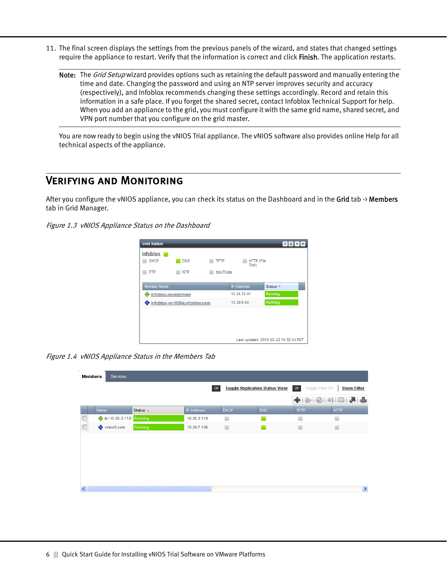- 11. The final screen displays the settings from the previous panels of the wizard, and states that changed settings require the appliance to restart. Verify that the information is correct and click Finish. The application restarts.
	- Note: The *Grid Setup* wizard provides options such as retaining the default password and manually entering the time and date. Changing the password and using an NTP server improves security and accuracy (respectively), and Infoblox recommends changing these settings accordingly. Record and retain this information in a safe place. If you forget the shared secret, contact Infoblox Technical Support for help. When you add an appliance to the grid, you must configure it with the same grid name, shared secret, and VPN port number that you configure on the grid master.

You are now ready to begin using the vNIOS Trial appliance. The vNIOS software also provides online Help for all technical aspects of the appliance.

#### <span id="page-5-0"></span>Verifying and Monitoring

After you configure the vNIOS appliance, you can check its status on the Dashboard and in the Grid tab -> Members tab in Grid Manager.

#### Figure 1.3 vNIOS Appliance Status on the Dashboard



Figure 1.4 vNIOS Appliance Status in the Members Tab

| ٠      | Members<br>Services    |                    |                   |                                       |     |                         |                         |
|--------|------------------------|--------------------|-------------------|---------------------------------------|-----|-------------------------|-------------------------|
|        |                        |                    | Off               | <b>Toggle Replication Status View</b> |     | Off<br>Toggle Filter On | <b>Show Filter</b>      |
|        |                        |                    |                   |                                       |     |                         | + B   ⊘   ◎   □   ₹   ⊜ |
|        | Name                   | Status $\triangle$ | <b>IP Address</b> | <b>DHCP</b>                           | DNS | TFTP.                   | <b>HTTP</b>             |
|        | b-10-35-3-110. Running |                    | 10.35.3.110       | ۰                                     |     | ٦                       | ۰                       |
| $\Box$ | vnios5.com             | Running            | 10.39.7.106       | ۰                                     |     | ۰                       | ٠                       |
|        |                        |                    |                   |                                       |     |                         |                         |
|        |                        |                    |                   |                                       |     |                         |                         |
|        |                        |                    |                   |                                       |     |                         |                         |
|        |                        |                    |                   |                                       |     |                         |                         |
|        |                        |                    |                   |                                       |     |                         |                         |
|        |                        |                    |                   |                                       |     |                         |                         |
|        |                        | $\rm IIII$         |                   |                                       |     |                         | $\,$                    |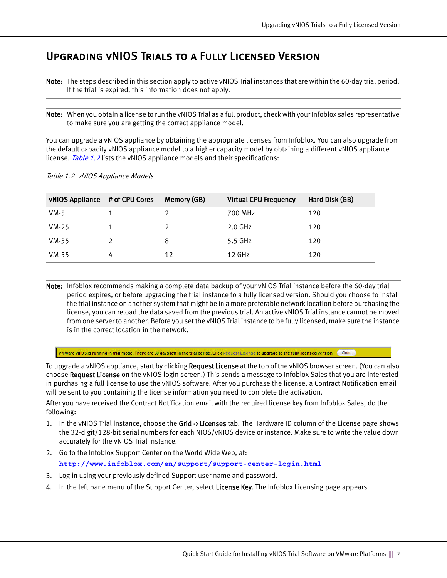## <span id="page-6-0"></span>Upgrading vNIOS Trials to a Fully Licensed Version

Note: The steps described in this section apply to active vNIOS Trial instances that are within the 60-day trial period. If the trial is expired, this information does not apply.

Note: When you obtain a license to run the vNIOS Trial as a full product, check with your Infoblox sales representative to make sure you are getting the correct appliance model.

You can upgrade a vNIOS appliance by obtaining the appropriate licenses from Infoblox. You can also upgrade from the default capacity vNIOS appliance model to a higher capacity model by obtaining a different vNIOS appliance license. Table 1.2 lists the vNIOS appliance models and their specifications:

|  | Table 1.2 vNIOS Appliance Models |
|--|----------------------------------|
|--|----------------------------------|

| vNIOS Appliance # of CPU Cores |   | Memory (GB) | <b>Virtual CPU Frequency</b> | Hard Disk (GB) |
|--------------------------------|---|-------------|------------------------------|----------------|
| VM-5                           |   |             | 700 MHz                      | 120            |
| $VM-25$                        |   |             | $2.0$ GHz                    | 120            |
| $VM-35$                        |   |             | 5.5 GHz                      | 120            |
| $VM-55$                        | 4 | 12          | $12$ GHz                     | 120            |

Note: Infoblox recommends making a complete data backup of your vNIOS Trial instance before the 60-day trial period expires, or before upgrading the trial instance to a fully licensed version. Should you choose to install the trial instance on another system that might be in a more preferable network location before purchasing the license, you can reload the data saved from the previous trial. An active vNIOS Trial instance cannot be moved from one server to another. Before you set the vNIOS Trial instance to be fully licensed, make sure the instance is in the correct location in the network.

VMware vNIOS is running in trial mode. There are 30 days left in the trial period. Click Request License to upgrade to the fully licensed version. Close

To upgrade a vNIOS appliance, start by clicking **Request License** at the top of the vNIOS browser screen. (You can also choose Request License on the vNIOS login screen.) This sends a message to Infoblox Sales that you are interested in purchasing a full license to use the vNIOS software. After you purchase the license, a Contract Notification email will be sent to you containing the license information you need to complete the activation.

After you have received the Contract Notification email with the required license key from Infoblox Sales, do the following:

- 1. In the vNIOS Trial instance, choose the Grid  $\rightarrow$  Licenses tab. The Hardware ID column of the License page shows the 32-digit/128-bit serial numbers for each NIOS/vNIOS device or instance. Make sure to write the value down accurately for the vNIOS Trial instance.
- 2. Go to the Infoblox Support Center on the World Wide Web, at:

**http://www.infoblox.com/en/support/support-center-login.html** 

- 3. Log in using your previously defined Support user name and password.
- 4. In the left pane menu of the Support Center, select License Key. The Infoblox Licensing page appears.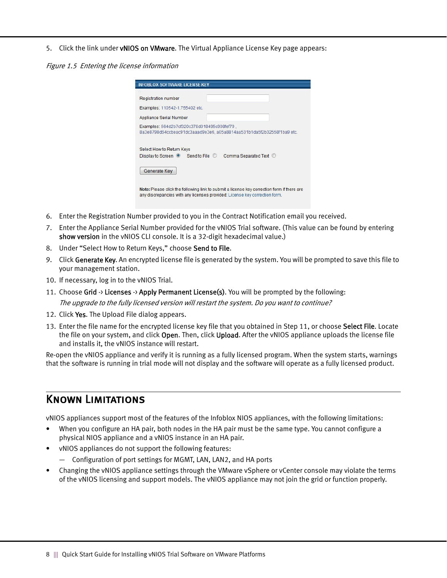#### 5. Click the link under vNIOS on VMware. The Virtual Appliance License Key page appears:

Figure 1.5 Entering the license information

| o                                                                          |                                                                       |
|----------------------------------------------------------------------------|-----------------------------------------------------------------------|
| <b>Registration number</b>                                                 |                                                                       |
| Examples: 110542-1.755402 etc.                                             |                                                                       |
| <b>Appliance Serial Number</b>                                             |                                                                       |
| Examples: 564d2b7cf320c378d018495c908fef79.                                | 8a3e8798d64ccbeac91dc3aaad9e3e6, a05a8814aa531b1da5f2b32558f1ba9 etc. |
|                                                                            |                                                                       |
|                                                                            |                                                                       |
| Select How to Return Keys<br>Display to Screen <sup>O</sup> Send to File © | Comma Separated Text ©                                                |
| Generate Key                                                               |                                                                       |

- 6. Enter the Registration Number provided to you in the Contract Notification email you received.
- 7. Enter the Appliance Serial Number provided for the vNIOS Trial software. (This value can be found by entering show version in the vNIOS CLI console. It is a 32-digit hexadecimal value.)
- 8. Under "Select How to Return Keys," choose Send to File.
- 9. Click Generate Key. An encrypted license file is generated by the system. You will be prompted to save this file to your management station.
- 10. If necessary, log in to the vNIOS Trial.
- 11. Choose Grid -> Licenses -> Apply Permanent License(s). You will be prompted by the following: The upgrade to the fully licensed version will restart the system. Do you want to continue?
- 12. Click Yes. The Upload File dialog appears.
- 13. Enter the file name for the encrypted license key file that you obtained in Step 11, or choose Select File. Locate the file on your system, and click **Open**. Then, click **Upload**. After the vNIOS appliance uploads the license file and installs it, the vNIOS instance will restart.

Re-open the vNIOS appliance and verify it is running as a fully licensed program. When the system starts, warnings that the software is running in trial mode will not display and the software will operate as a fully licensed product.

### <span id="page-7-0"></span>Known Limitations

vNIOS appliances support most of the features of the Infoblox NIOS appliances, with the following limitations:

- When you configure an HA pair, both nodes in the HA pair must be the same type. You cannot configure a physical NIOS appliance and a vNIOS instance in an HA pair.
- vNIOS appliances do not support the following features:
	- Configuration of port settings for MGMT, LAN, LAN2, and HA ports
- Changing the vNIOS appliance settings through the VMware vSphere or vCenter console may violate the terms of the vNIOS licensing and support models. The vNIOS appliance may not join the grid or function properly.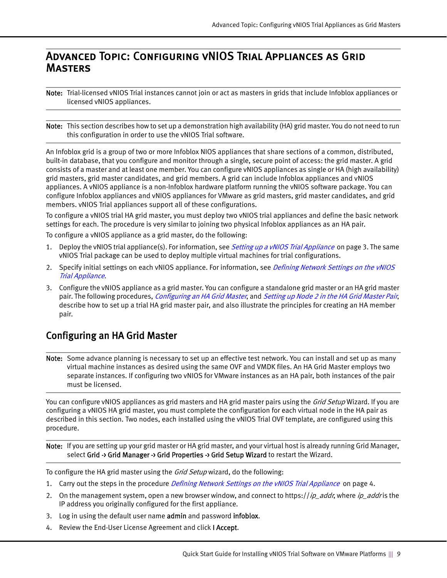#### <span id="page-8-0"></span>Advanced Topic: Configuring vNIOS Trial Appliances as Grid **MASTERS**

Note: Trial-licensed vNIOS Trial instances cannot join or act as masters in grids that include Infoblox appliances or licensed vNIOS appliances.

Note: This section describes how to set up a demonstration high availability (HA) grid master. You do not need to run this configuration in order to use the vNIOS Trial software.

An Infoblox grid is a group of two or more Infoblox NIOS appliances that share sections of a common, distributed, built-in database, that you configure and monitor through a single, secure point of access: the grid master. A grid consists of a master and at least one member. You can configure vNIOS appliances as single or HA (high availability) grid masters, grid master candidates, and grid members. A grid can include Infoblox appliances and vNIOS appliances. A vNIOS appliance is a non-Infoblox hardware platform running the vNIOS software package. You can configure Infoblox appliances and vNIOS appliances for VMware as grid masters, grid master candidates, and grid members. vNIOS Trial appliances support all of these configurations.

To configure a vNIOS trial HA grid master, you must deploy two vNIOS trial appliances and define the basic network settings for each. The procedure is very similar to joining two physical Infoblox appliances as an HA pair.

To configure a vNIOS appliance as a grid master, do the following:

- 1. Deploy the vNIOS trial appliance(s). For information, see [Setting up a vNIOS Trial Appliance](#page-2-0) on page 3. The same vNIOS Trial package can be used to deploy multiple virtual machines for trial configurations.
- 2. Specify initial settings on each vNIOS appliance. For information, see *Defining Network Settings on the vNIOS* [Trial Appliance](#page-3-0).
- 3. Configure the vNIOS appliance as a grid master. You can configure a standalone grid master or an HA grid master pair. The following procedures, [Configuring an HA Grid Master](#page-8-1), and [Setting up Node 2 in the HA Grid Master Pair](#page-10-0), describe how to set up a trial HA grid master pair, and also illustrate the principles for creating an HA member pair.

#### <span id="page-8-1"></span>Configuring an HA Grid Master

Note: Some advance planning is necessary to set up an effective test network. You can install and set up as many virtual machine instances as desired using the same OVF and VMDK files. An HA Grid Master employs two separate instances. If configuring two vNIOS for VMware instances as an HA pair, both instances of the pair must be licensed.

You can configure vNIOS appliances as grid masters and HA grid master pairs using the *Grid Setup* Wizard. If you are configuring a vNIOS HA grid master, you must complete the configuration for each virtual node in the HA pair as described in this section. Two nodes, each installed using the vNIOS Trial OVF template, are configured using this procedure.

Note: If you are setting up your grid master or HA grid master, and your virtual host is already running Grid Manager, select Grid -> Grid Manager -> Grid Properties -> Grid Setup Wizard to restart the Wizard.

To configure the HA grid master using the *Grid Setup* wizard, do the following:

- 1. Carry out the steps in the procedure *Defining Network Settings on the vNIOS Trial Appliance* on page 4.
- 2. On the management system, open a new browser window, and connect to https://ip\_addr, where ip\_addris the IP address you originally configured for the first appliance.
- 3. Log in using the default user name **admin** and password **infoblox**.
- 4. Review the End-User License Agreement and click I Accept.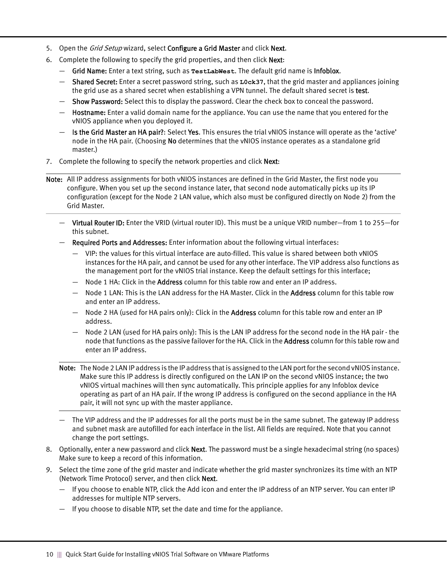- 5. Open the Grid Setup wizard, select Configure a Grid Master and click Next.
- 6. Complete the following to specify the grid properties, and then click Next:
	- Grid Name: Enter a text string, such as **TestLabWest**. The default grid name is Infoblox.
	- Shared Secret: Enter a secret password string, such as **L0ck37**, that the grid master and appliances joining the grid use as a shared secret when establishing a VPN tunnel. The default shared secret is test.
	- Show Password: Select this to display the password. Clear the check box to conceal the password.
	- Hostname: Enter a valid domain name for the appliance. You can use the name that you entered for the vNIOS appliance when you deployed it.
	- Is the Grid Master an HA pair?: Select Yes. This ensures the trial vNIOS instance will operate as the 'active' node in the HA pair. (Choosing No determines that the vNIOS instance operates as a standalone grid master.)
- 7. Complete the following to specify the network properties and click **Next:**
- Note: All IP address assignments for both vNIOS instances are defined in the Grid Master, the first node you configure. When you set up the second instance later, that second node automatically picks up its IP configuration (except for the Node 2 LAN value, which also must be configured directly on Node 2) from the Grid Master.
	- Virtual Router ID: Enter the VRID (virtual router ID). This must be a unique VRID number—from 1 to 255—for this subnet.
	- Required Ports and Addresses: Enter information about the following virtual interfaces:
		- VIP: the values for this virtual interface are auto-filled. This value is shared between both vNIOS instances for the HA pair, and cannot be used for any other interface. The VIP address also functions as the management port for the vNIOS trial instance. Keep the default settings for this interface;
		- $-$  Node 1 HA: Click in the **Address** column for this table row and enter an IP address.
		- Node 1 LAN: This is the LAN address for the HA Master. Click in the **Address** column for this table row and enter an IP address.
		- $-$  Node 2 HA (used for HA pairs only): Click in the Address column for this table row and enter an IP address.
		- Node 2 LAN (used for HA pairs only): This is the LAN IP address for the second node in the HA pair the node that functions as the passive failover for the HA. Click in the **Address** column for this table row and enter an IP address.
	- Note: The Node 2 LAN IP address is the IP address that is assigned to the LAN port for the second vNIOS instance. Make sure this IP address is directly configured on the LAN IP on the second vNIOS instance; the two vNIOS virtual machines will then sync automatically. This principle applies for any Infoblox device operating as part of an HA pair. If the wrong IP address is configured on the second appliance in the HA pair, it will not sync up with the master appliance.
	- The VIP address and the IP addresses for all the ports must be in the same subnet. The gateway IP address and subnet mask are autofilled for each interface in the list. All fields are required. Note that you cannot change the port settings.
- 8. Optionally, enter a new password and click Next. The password must be a single hexadecimal string (no spaces) Make sure to keep a record of this information.
- 9. Select the time zone of the grid master and indicate whether the grid master synchronizes its time with an NTP (Network Time Protocol) server, and then click Next.
	- If you choose to enable NTP, click the Add icon and enter the IP address of an NTP server. You can enter IP addresses for multiple NTP servers.
	- If you choose to disable NTP, set the date and time for the appliance.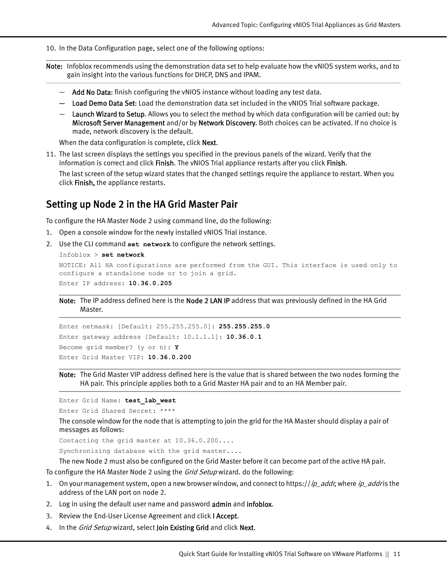10. In the Data Configuration page, select one of the following options:

- Note: Infoblox recommends using the demonstration data set to help evaluate how the vNIOS system works, and to gain insight into the various functions for DHCP, DNS and IPAM.
	- Add No Data: finish configuring the vNIOS instance without loading any test data.
	- Load Demo Data Set: Load the demonstration data set included in the vNIOS Trial software package.
	- $-$  Launch Wizard to Setup. Allows you to select the method by which data configuration will be carried out: by Microsoft Server Management and/or by Network Discovery. Both choices can be activated. If no choice is made, network discovery is the default.

When the data configuration is complete, click Next.

11. The last screen displays the settings you specified in the previous panels of the wizard. Verify that the information is correct and click Finish. The vNIOS Trial appliance restarts after you click Finish.

The last screen of the setup wizard states that the changed settings require the appliance to restart. When you click Finish, the appliance restarts.

#### <span id="page-10-0"></span>Setting up Node 2 in the HA Grid Master Pair

To configure the HA Master Node 2 using command line, do the following:

- 1. Open a console window for the newly installed vNIOS Trial instance.
- 2. Use the CLI command **set network** to configure the network settings.

```
Infoblox > set network
```

```
NOTICE: All HA configurations are performed from the GUI. This interface is used only to 
configure a standalone node or to join a grid.
Enter IP address: 10.36.0.205
```
Note: The IP address defined here is the Node 2 LAN IP address that was previously defined in the HA Grid Master.

```
Enter netmask: [Default: 255.255.255.0]: 255.255.255.0
Enter gateway address [Default: 10.1.1.1]: 10.36.0.1
Become grid member? (y or n): Y
Enter Grid Master VIP: 10.36.0.200
```
Note: The Grid Master VIP address defined here is the value that is shared between the two nodes forming the HA pair. This principle applies both to a Grid Master HA pair and to an HA Member pair.

Enter Grid Name: **test\_lab\_west**

Enter Grid Shared Secret: \*\*\*\*

The console window for the node that is attempting to join the grid for the HA Master should display a pair of messages as follows:

Contacting the grid master at 10.36.0.200....

Synchronizing database with the grid master....

The new Node 2 must also be configured on the Grid Master before it can become part of the active HA pair.

To configure the HA Master Node 2 using the Grid Setup wizard. do the following:

- 1. On your management system, open a new browser window, and connect to https://ip\_addr, where ip\_addr is the address of the LAN port on node 2.
- 2. Log in using the default user name and password admin and infoblox.
- 3. Review the End-User License Agreement and click I Accept.
- 4. In the Grid Setup wizard, select Join Existing Grid and click Next.